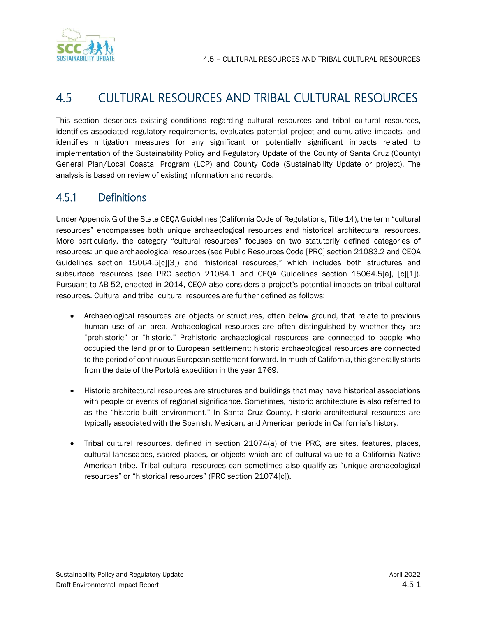

# 4.5 CULTURAL RESOURCES AND TRIBAL CULTURAL RESOURCES

This section describes existing conditions regarding cultural resources and tribal cultural resources, identifies associated regulatory requirements, evaluates potential project and cumulative impacts, and identifies mitigation measures for any significant or potentially significant impacts related to implementation of the Sustainability Policy and Regulatory Update of the County of Santa Cruz (County) General Plan/Local Coastal Program (LCP) and County Code (Sustainability Update or project). The analysis is based on review of existing information and records.

# 4.5.1 Definitions

Under Appendix G of the State CEQA Guidelines (California Code of Regulations, Title 14), the term "cultural resources" encompasses both unique archaeological resources and historical architectural resources. More particularly, the category "cultural resources" focuses on two statutorily defined categories of resources: unique archaeological resources (see Public Resources Code [PRC] section 21083.2 and CEQA Guidelines section 15064.5[c][3]) and "historical resources," which includes both structures and subsurface resources (see PRC section 21084.1 and CEQA Guidelines section 15064.5[a], [c][1]). Pursuant to AB 52, enacted in 2014, CEQA also considers a project's potential impacts on tribal cultural resources. Cultural and tribal cultural resources are further defined as follows:

- Archaeological resources are objects or structures, often below ground, that relate to previous human use of an area. Archaeological resources are often distinguished by whether they are "prehistoric" or "historic." Prehistoric archaeological resources are connected to people who occupied the land prior to European settlement; historic archaeological resources are connected to the period of continuous European settlement forward. In much of California, this generally starts from the date of the Portolá expedition in the year 1769.
- Historic architectural resources are structures and buildings that may have historical associations with people or events of regional significance. Sometimes, historic architecture is also referred to as the "historic built environment." In Santa Cruz County, historic architectural resources are typically associated with the Spanish, Mexican, and American periods in California's history.
- Tribal cultural resources, defined in section 21074(a) of the PRC, are sites, features, places, cultural landscapes, sacred places, or objects which are of cultural value to a California Native American tribe. Tribal cultural resources can sometimes also qualify as "unique archaeological resources" or "historical resources" (PRC section 21074[c]).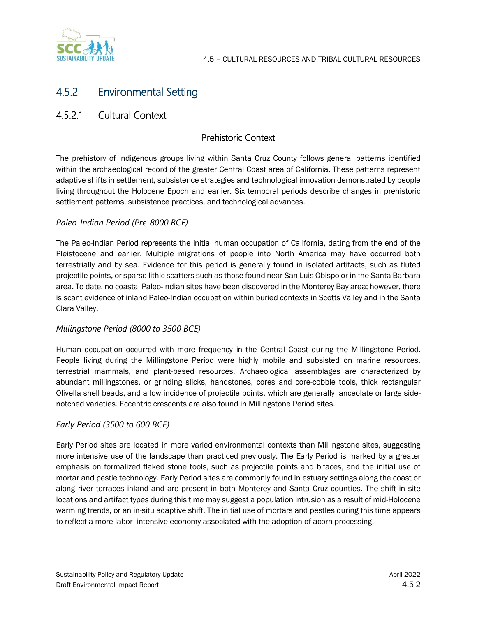

# 4.5.2 Environmental Setting

## 4.5.2.1 Cultural Context

### Prehistoric Context

The prehistory of indigenous groups living within Santa Cruz County follows general patterns identified within the archaeological record of the greater Central Coast area of California. These patterns represent adaptive shifts in settlement, subsistence strategies and technological innovation demonstrated by people living throughout the Holocene Epoch and earlier. Six temporal periods describe changes in prehistoric settlement patterns, subsistence practices, and technological advances.

#### *Paleo-Indian Period (Pre-8000 BCE)*

The Paleo-Indian Period represents the initial human occupation of California, dating from the end of the Pleistocene and earlier. Multiple migrations of people into North America may have occurred both terrestrially and by sea. Evidence for this period is generally found in isolated artifacts, such as fluted projectile points, or sparse lithic scatters such as those found near San Luis Obispo or in the Santa Barbara area. To date, no coastal Paleo-Indian sites have been discovered in the Monterey Bay area; however, there is scant evidence of inland Paleo-Indian occupation within buried contexts in Scotts Valley and in the Santa Clara Valley.

#### *Millingstone Period (8000 to 3500 BCE)*

Human occupation occurred with more frequency in the Central Coast during the Millingstone Period. People living during the Millingstone Period were highly mobile and subsisted on marine resources, terrestrial mammals, and plant-based resources. Archaeological assemblages are characterized by abundant millingstones, or grinding slicks, handstones, cores and core-cobble tools, thick rectangular Olivella shell beads, and a low incidence of projectile points, which are generally lanceolate or large sidenotched varieties. Eccentric crescents are also found in Millingstone Period sites.

#### *Early Period (3500 to 600 BCE)*

Early Period sites are located in more varied environmental contexts than Millingstone sites, suggesting more intensive use of the landscape than practiced previously. The Early Period is marked by a greater emphasis on formalized flaked stone tools, such as projectile points and bifaces, and the initial use of mortar and pestle technology. Early Period sites are commonly found in estuary settings along the coast or along river terraces inland and are present in both Monterey and Santa Cruz counties. The shift in site locations and artifact types during this time may suggest a population intrusion as a result of mid-Holocene warming trends, or an in-situ adaptive shift. The initial use of mortars and pestles during this time appears to reflect a more labor- intensive economy associated with the adoption of acorn processing.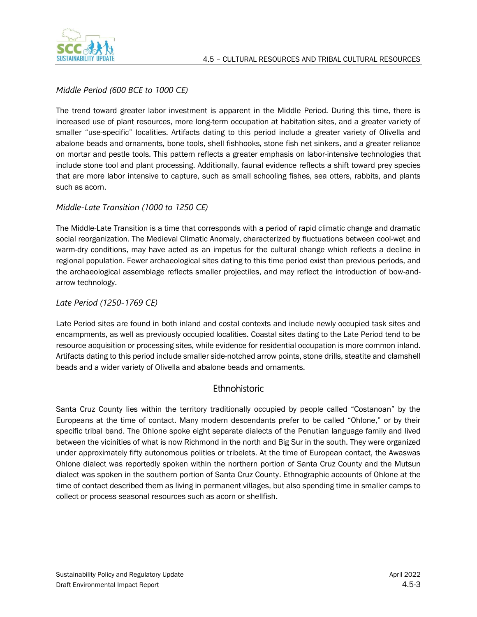

#### *Middle Period (600 BCE to 1000 CE)*

The trend toward greater labor investment is apparent in the Middle Period. During this time, there is increased use of plant resources, more long-term occupation at habitation sites, and a greater variety of smaller "use-specific" localities. Artifacts dating to this period include a greater variety of Olivella and abalone beads and ornaments, bone tools, shell fishhooks, stone fish net sinkers, and a greater reliance on mortar and pestle tools. This pattern reflects a greater emphasis on labor-intensive technologies that include stone tool and plant processing. Additionally, faunal evidence reflects a shift toward prey species that are more labor intensive to capture, such as small schooling fishes, sea otters, rabbits, and plants such as acorn.

#### *Middle-Late Transition (1000 to 1250 CE)*

The Middle-Late Transition is a time that corresponds with a period of rapid climatic change and dramatic social reorganization. The Medieval Climatic Anomaly, characterized by fluctuations between cool-wet and warm-dry conditions, may have acted as an impetus for the cultural change which reflects a decline in regional population. Fewer archaeological sites dating to this time period exist than previous periods, and the archaeological assemblage reflects smaller projectiles, and may reflect the introduction of bow-andarrow technology.

#### *Late Period (1250-1769 CE)*

Late Period sites are found in both inland and costal contexts and include newly occupied task sites and encampments, as well as previously occupied localities. Coastal sites dating to the Late Period tend to be resource acquisition or processing sites, while evidence for residential occupation is more common inland. Artifacts dating to this period include smaller side-notched arrow points, stone drills, steatite and clamshell beads and a wider variety of Olivella and abalone beads and ornaments.

#### **Ethnohistoric**

Santa Cruz County lies within the territory traditionally occupied by people called "Costanoan" by the Europeans at the time of contact. Many modern descendants prefer to be called "Ohlone," or by their specific tribal band. The Ohlone spoke eight separate dialects of the Penutian language family and lived between the vicinities of what is now Richmond in the north and Big Sur in the south. They were organized under approximately fifty autonomous polities or tribelets. At the time of European contact, the Awaswas Ohlone dialect was reportedly spoken within the northern portion of Santa Cruz County and the Mutsun dialect was spoken in the southern portion of Santa Cruz County. Ethnographic accounts of Ohlone at the time of contact described them as living in permanent villages, but also spending time in smaller camps to collect or process seasonal resources such as acorn or shellfish.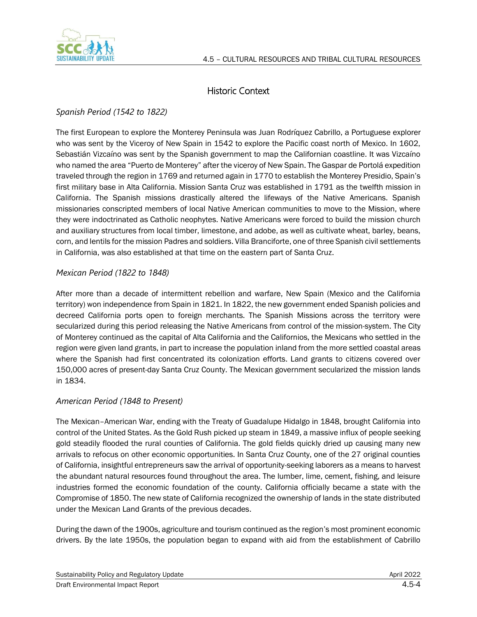

## Historic Context

### *Spanish Period (1542 to 1822)*

The first European to explore the Monterey Peninsula was Juan Rodríquez Cabrillo, a Portuguese explorer who was sent by the Viceroy of New Spain in 1542 to explore the Pacific coast north of Mexico. In 1602, Sebastián Vizcaíno was sent by the Spanish government to map the Californian coastline. It was Vizcaíno who named the area "Puerto de Monterey" after the viceroy of New Spain. The Gaspar de Portolá expedition traveled through the region in 1769 and returned again in 1770 to establish the Monterey Presidio, Spain's first military base in Alta California. Mission Santa Cruz was established in 1791 as the twelfth mission in California. The Spanish missions drastically altered the lifeways of the Native Americans. Spanish missionaries conscripted members of local Native American communities to move to the Mission, where they were indoctrinated as Catholic neophytes. Native Americans were forced to build the mission church and auxiliary structures from local timber, limestone, and adobe, as well as cultivate wheat, barley, beans, corn, and lentils for the mission Padres and soldiers. Villa Branciforte, one of three Spanish civil settlements in California, was also established at that time on the eastern part of Santa Cruz.

#### *Mexican Period (1822 to 1848)*

After more than a decade of intermittent rebellion and warfare, New Spain (Mexico and the California territory) won independence from Spain in 1821. In 1822, the new government ended Spanish policies and decreed California ports open to foreign merchants. The Spanish Missions across the territory were secularized during this period releasing the Native Americans from control of the mission-system. The City of Monterey continued as the capital of Alta California and the Californios, the Mexicans who settled in the region were given land grants, in part to increase the population inland from the more settled coastal areas where the Spanish had first concentrated its colonization efforts. Land grants to citizens covered over 150,000 acres of present-day Santa Cruz County. The Mexican government secularized the mission lands in 1834.

#### *American Period (1848 to Present)*

The Mexican–American War, ending with the Treaty of Guadalupe Hidalgo in 1848, brought California into control of the United States. As the Gold Rush picked up steam in 1849, a massive influx of people seeking gold steadily flooded the rural counties of California. The gold fields quickly dried up causing many new arrivals to refocus on other economic opportunities. In Santa Cruz County, one of the 27 original counties of California, insightful entrepreneurs saw the arrival of opportunity-seeking laborers as a means to harvest the abundant natural resources found throughout the area. The lumber, lime, cement, fishing, and leisure industries formed the economic foundation of the county. California officially became a state with the Compromise of 1850. The new state of California recognized the ownership of lands in the state distributed under the Mexican Land Grants of the previous decades.

During the dawn of the 1900s, agriculture and tourism continued as the region's most prominent economic drivers. By the late 1950s, the population began to expand with aid from the establishment of Cabrillo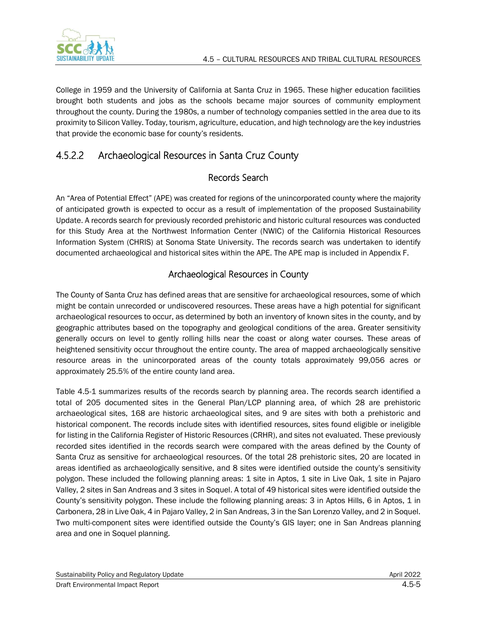

College in 1959 and the University of California at Santa Cruz in 1965. These higher education facilities brought both students and jobs as the schools became major sources of community employment throughout the county. During the 1980s, a number of technology companies settled in the area due to its proximity to Silicon Valley. Today, tourism, agriculture, education, and high technology are the key industries that provide the economic base for county's residents.

# 4.5.2.2 Archaeological Resources in Santa Cruz County

## Records Search

An "Area of Potential Effect" (APE) was created for regions of the unincorporated county where the majority of anticipated growth is expected to occur as a result of implementation of the proposed Sustainability Update. A records search for previously recorded prehistoric and historic cultural resources was conducted for this Study Area at the Northwest Information Center (NWIC) of the California Historical Resources Information System (CHRIS) at Sonoma State University. The records search was undertaken to identify documented archaeological and historical sites within the APE. The APE map is included in Appendix F.

## Archaeological Resources in County

The County of Santa Cruz has defined areas that are sensitive for archaeological resources, some of which might be contain unrecorded or undiscovered resources. These areas have a high potential for significant archaeological resources to occur, as determined by both an inventory of known sites in the county, and by geographic attributes based on the topography and geological conditions of the area. Greater sensitivity generally occurs on level to gently rolling hills near the coast or along water courses. These areas of heightened sensitivity occur throughout the entire county. The area of mapped archaeologically sensitive resource areas in the unincorporated areas of the county totals approximately 99,056 acres or approximately 25.5% of the entire county land area.

Table 4.5-1 summarizes results of the records search by planning area. The records search identified a total of 205 documented sites in the General Plan/LCP planning area, of which 28 are prehistoric archaeological sites, 168 are historic archaeological sites, and 9 are sites with both a prehistoric and historical component. The records include sites with identified resources, sites found eligible or ineligible for listing in the California Register of Historic Resources (CRHR), and sites not evaluated. These previously recorded sites identified in the records search were compared with the areas defined by the County of Santa Cruz as sensitive for archaeological resources. Of the total 28 prehistoric sites, 20 are located in areas identified as archaeologically sensitive, and 8 sites were identified outside the county's sensitivity polygon. These included the following planning areas: 1 site in Aptos, 1 site in Live Oak, 1 site in Pajaro Valley, 2 sites in San Andreas and 3 sites in Soquel. A total of 49 historical sites were identified outside the County's sensitivity polygon. These include the following planning areas: 3 in Aptos Hills, 6 in Aptos, 1 in Carbonera, 28 in Live Oak, 4 in Pajaro Valley, 2 in San Andreas, 3 in the San Lorenzo Valley, and 2 in Soquel. Two multi-component sites were identified outside the County's GIS layer; one in San Andreas planning area and one in Soquel planning.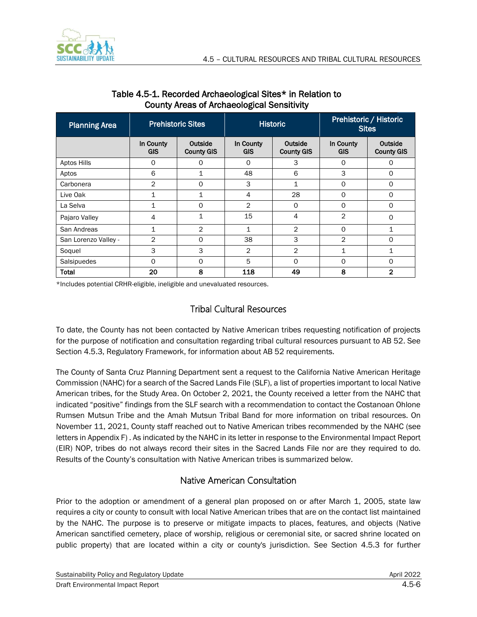

| <b>Planning Area</b> | <b>Prehistoric Sites</b> |                              | <b>Historic</b>         |                              | Prehistoric / Historic<br><b>Sites</b> |                              |
|----------------------|--------------------------|------------------------------|-------------------------|------------------------------|----------------------------------------|------------------------------|
|                      | In County<br><b>GIS</b>  | Outside<br><b>County GIS</b> | In County<br><b>GIS</b> | Outside<br><b>County GIS</b> | In County<br><b>GIS</b>                | Outside<br><b>County GIS</b> |
| Aptos Hills          | 0                        | 0                            | $\Omega$                | 3                            | $\Omega$                               | 0                            |
| Aptos                | 6                        | 1                            | 48                      | 6                            | 3                                      | 0                            |
| Carbonera            | 2                        | $\Omega$                     | 3                       | $\mathbf{1}$                 | $\Omega$                               | $\circ$                      |
| Live Oak             | 1                        | 1                            | 4                       | 28                           | 0                                      | 0                            |
| La Selva             | $\mathbf{1}$             | $\Omega$                     | 2                       | $\Omega$                     | $\Omega$                               | $\Omega$                     |
| Pajaro Valley        | 4                        | 1                            | 15                      | 4                            | 2                                      | O                            |
| San Andreas          | $\mathbf{1}$             | $\mathbf{2}$                 | 1                       | $\overline{2}$               | $\Omega$                               | $\mathbf 1$                  |
| San Lorenzo Valley - | 2                        | 0                            | 38                      | 3                            | 2                                      | $\Omega$                     |
| Soquel               | 3                        | 3                            | $\overline{2}$          | $\overline{2}$               | 1                                      | $\mathbf 1$                  |
| Salsipuedes          | O                        | 0                            | 5                       | $\Omega$                     | $\Omega$                               | $\Omega$                     |
| <b>Total</b>         | 20                       | 8                            | 118                     | 49                           | 8                                      | $\overline{2}$               |

#### Table 4.5-1. Recorded Archaeological Sites\* in Relation to County Areas of Archaeological Sensitivity

\*Includes potential CRHR-eligible, ineligible and unevaluated resources.

### Tribal Cultural Resources

To date, the County has not been contacted by Native American tribes requesting notification of projects for the purpose of notification and consultation regarding tribal cultural resources pursuant to AB 52. See Section [4.5.3, Regulatory Framework,](#page-8-0) for information about AB 52 requirements.

The County of Santa Cruz Planning Department sent a request to the California Native American Heritage Commission (NAHC) for a search of the Sacred Lands File (SLF), a list of properties important to local Native American tribes, for the Study Area. On October 2, 2021, the County received a letter from the NAHC that indicated "positive" findings from the SLF search with a recommendation to contact the Costanoan Ohlone Rumsen Mutsun Tribe and the Amah Mutsun Tribal Band for more information on tribal resources. On November 11, 2021, County staff reached out to Native American tribes recommended by the NAHC (see letters in Appendix F) . As indicated by the NAHC in its letter in response to the Environmental Impact Report (EIR) NOP, tribes do not always record their sites in the Sacred Lands File nor are they required to do. Results of the County's consultation with Native American tribes is summarized below.

### Native American Consultation

Prior to the adoption or amendment of a general plan proposed on or after March 1, 2005, state law requires a city or county to consult with local Native American tribes that are on the contact list maintained by the NAHC. The purpose is to preserve or mitigate impacts to places, features, and objects (Native American sanctified cemetery, place of worship, religious or ceremonial site, or sacred shrine located on public property) that are located within a city or county's jurisdiction. See Section 4.5.3 for further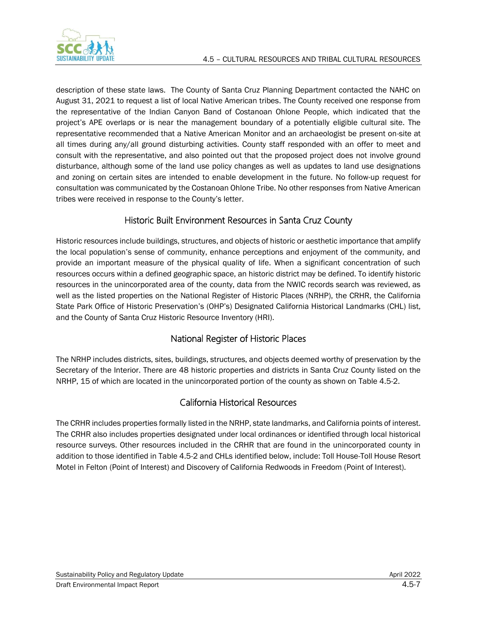description of these state laws. The County of Santa Cruz Planning Department contacted the NAHC on August 31, 2021 to request a list of local Native American tribes. The County received one response from the representative of the Indian Canyon Band of Costanoan Ohlone People, which indicated that the project's APE overlaps or is near the management boundary of a potentially eligible cultural site. The representative recommended that a Native American Monitor and an archaeologist be present on-site at all times during any/all ground disturbing activities. County staff responded with an offer to meet and consult with the representative, and also pointed out that the proposed project does not involve ground disturbance, although some of the land use policy changes as well as updates to land use designations and zoning on certain sites are intended to enable development in the future. No follow-up request for consultation was communicated by the Costanoan Ohlone Tribe. No other responses from Native American tribes were received in response to the County's letter.

### Historic Built Environment Resources in Santa Cruz County

Historic resources include buildings, structures, and objects of historic or aesthetic importance that amplify the local population's sense of community, enhance perceptions and enjoyment of the community, and provide an important measure of the physical quality of life. When a significant concentration of such resources occurs within a defined geographic space, an historic district may be defined. To identify historic resources in the unincorporated area of the county, data from the NWIC records search was reviewed, as well as the listed properties on the National Register of Historic Places (NRHP), the CRHR, the California State Park Office of Historic Preservation's (OHP's) Designated California Historical Landmarks (CHL) list, and the County of Santa Cruz Historic Resource Inventory (HRI).

### National Register of Historic Places

The NRHP includes districts, sites, buildings, structures, and objects deemed worthy of preservation by the Secretary of the Interior. There are 48 historic properties and districts in Santa Cruz County listed on the NRHP, 15 of which are located in the unincorporated portion of the county as shown on Table 4.5-2.

### California Historical Resources

The CRHR includes properties formally listed in the NRHP, state landmarks, and California points of interest. The CRHR also includes properties designated under local ordinances or identified through local historical resource surveys. Other resources included in the CRHR that are found in the unincorporated county in addition to those identified in Table 4.5-2 and CHLs identified below, include: Toll House-Toll House Resort Motel in Felton (Point of Interest) and Discovery of California Redwoods in Freedom (Point of Interest).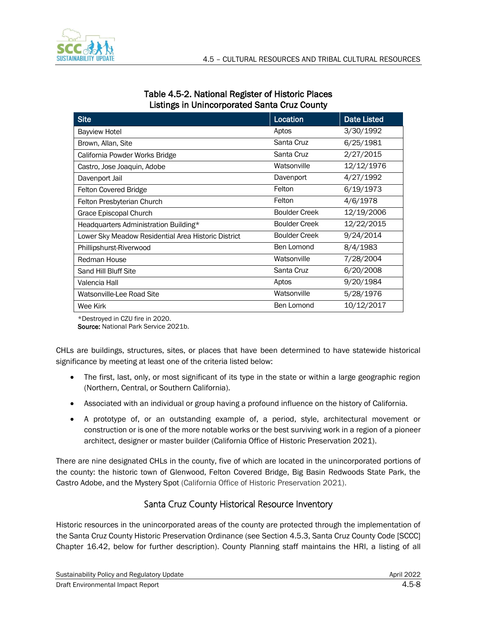

| Table 4.5-2. National Register of Historic Places   |  |
|-----------------------------------------------------|--|
| <b>Listings in Unincorporated Santa Cruz County</b> |  |

| <b>Site</b>                                         | Location             | <b>Date Listed</b> |
|-----------------------------------------------------|----------------------|--------------------|
| <b>Bayview Hotel</b>                                | Aptos                | 3/30/1992          |
| Brown, Allan, Site                                  | Santa Cruz           | 6/25/1981          |
| California Powder Works Bridge                      | Santa Cruz           | 2/27/2015          |
| Castro, Jose Joaquin, Adobe                         | Watsonville          | 12/12/1976         |
| Davenport Jail                                      | Davenport            | 4/27/1992          |
| <b>Felton Covered Bridge</b>                        | Felton               | 6/19/1973          |
| Felton Presbyterian Church                          | Felton               | 4/6/1978           |
| Grace Episcopal Church                              | <b>Boulder Creek</b> | 12/19/2006         |
| Headquarters Administration Building*               | <b>Boulder Creek</b> | 12/22/2015         |
| Lower Sky Meadow Residential Area Historic District | <b>Boulder Creek</b> | 9/24/2014          |
| Phillipshurst-Riverwood                             | Ben Lomond           | 8/4/1983           |
| <b>Redman House</b>                                 | Watsonville          | 7/28/2004          |
| Sand Hill Bluff Site                                | Santa Cruz           | 6/20/2008          |
| Valencia Hall                                       | Aptos                | 9/20/1984          |
| Watsonville-Lee Road Site                           | Watsonville          | 5/28/1976          |
| Wee Kirk                                            | Ben Lomond           | 10/12/2017         |

\*Destroyed in CZU fire in 2020.

Source: National Park Service 2021b.

CHLs are buildings, structures, sites, or places that have been determined to have statewide historical significance by meeting at least one of the criteria listed below:

- The first, last, only, or most significant of its type in the state or within a large geographic region (Northern, Central, or Southern California).
- Associated with an individual or group having a profound influence on the history of California.
- A prototype of, or an outstanding example of, a period, style, architectural movement or construction or is one of the more notable works or the best surviving work in a region of a pioneer architect, designer or master builder (California Office of Historic Preservation 2021).

There are nine designated CHLs in the county, five of which are located in the unincorporated portions of the county: the historic town of Glenwood, Felton Covered Bridge, Big Basin Redwoods State Park, the Castro Adobe, and the Mystery Spot (California Office of Historic Preservation 2021).

### Santa Cruz County Historical Resource Inventory

Historic resources in the unincorporated areas of the county are protected through the implementation of the Santa Cruz County Historic Preservation Ordinance (see Section 4.5.3, Santa Cruz County Code [SCCC] Chapter 16.42, below for further description). County Planning staff maintains the HRI, a listing of all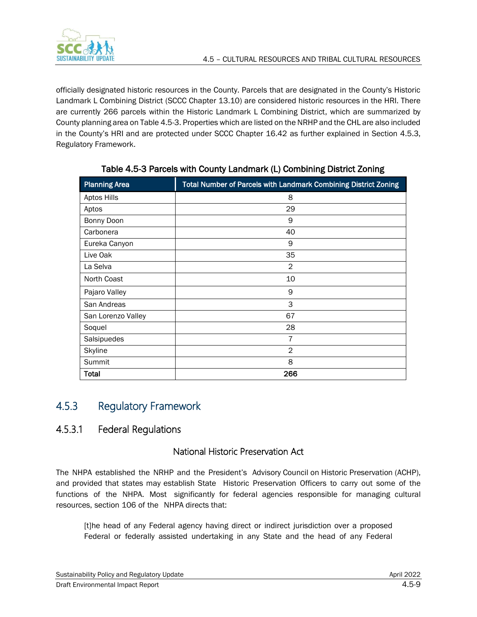

officially designated historic resources in the County. Parcels that are designated in the County's Historic Landmark L Combining District (SCCC Chapter 13.10) are considered historic resources in the HRI. There are currently 266 parcels within the Historic Landmark L Combining District, which are summarized by County planning area on Table 4.5-3. Properties which are listed on the NRHP and the CHL are also included in the County's HRI and are protected under SCCC Chapter 16.42 as further explained in Section 4.5.3, Regulatory Framework.

| <b>Planning Area</b> | <b>Total Number of Parcels with Landmark Combining District Zoning</b> |
|----------------------|------------------------------------------------------------------------|
| Aptos Hills          | 8                                                                      |
| Aptos                | 29                                                                     |
| Bonny Doon           | 9                                                                      |
| Carbonera            | 40                                                                     |
| Eureka Canyon        | 9                                                                      |
| Live Oak             | 35                                                                     |
| La Selva             | $\overline{2}$                                                         |
| North Coast          | 10                                                                     |
| Pajaro Valley        | 9                                                                      |
| San Andreas          | 3                                                                      |
| San Lorenzo Valley   | 67                                                                     |
| Soquel               | 28                                                                     |
| Salsipuedes          | 7                                                                      |
| Skyline              | $\overline{2}$                                                         |
| Summit               | 8                                                                      |
| Total                | 266                                                                    |

Table 4.5-3 Parcels with County Landmark (L) Combining District Zoning

# <span id="page-8-0"></span>4.5.3 Regulatory Framework

## 4.5.3.1 Federal Regulations

### National Historic Preservation Act

The NHPA established the NRHP and the President's Advisory Council on Historic Preservation (ACHP), and provided that states may establish State Historic Preservation Officers to carry out some of the functions of the NHPA. Most significantly for federal agencies responsible for managing cultural resources, section 106 of the NHPA directs that:

[t]he head of any Federal agency having direct or indirect jurisdiction over a proposed Federal or federally assisted undertaking in any State and the head of any Federal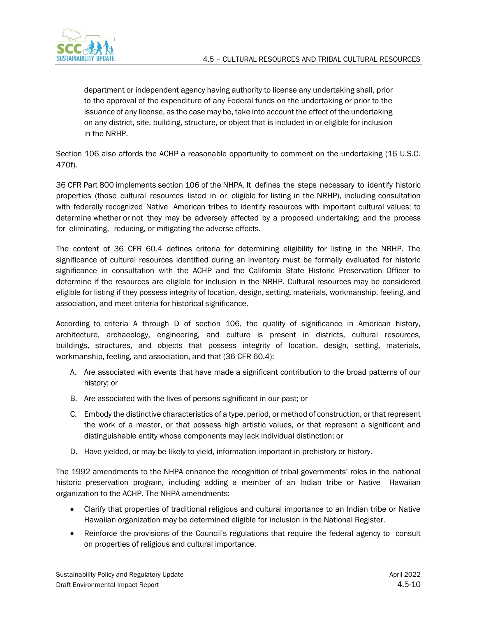

department or independent agency having authority to license any undertaking shall, prior to the approval of the expenditure of any Federal funds on the undertaking or prior to the issuance of any license, as the case may be, take into account the effect of the undertaking on any district, site, building, structure, or object that is included in or eligible for inclusion in the NRHP.

Section 106 also affords the ACHP a reasonable opportunity to comment on the undertaking (16 U.S.C. 470f).

36 CFR Part 800 implements section 106 of the NHPA. It defines the steps necessary to identify historic properties (those cultural resources listed in or eligible for listing in the NRHP), including consultation with federally recognized Native American tribes to identify resources with important cultural values; to determine whether or not they may be adversely affected by a proposed undertaking; and the process for eliminating, reducing, or mitigating the adverse effects.

The content of 36 CFR 60.4 defines criteria for determining eligibility for listing in the NRHP. The significance of cultural resources identified during an inventory must be formally evaluated for historic significance in consultation with the ACHP and the California State Historic Preservation Officer to determine if the resources are eligible for inclusion in the NRHP. Cultural resources may be considered eligible for listing if they possess integrity of location, design, setting, materials, workmanship, feeling, and association, and meet criteria for historical significance.

According to criteria A through D of section 106, the quality of significance in American history, architecture, archaeology, engineering, and culture is present in districts, cultural resources, buildings, structures, and objects that possess integrity of location, design, setting, materials, workmanship, feeling, and association, and that (36 CFR 60.4):

- A. Are associated with events that have made a significant contribution to the broad patterns of our history; or
- B. Are associated with the lives of persons significant in our past; or
- C. Embody the distinctive characteristics of a type, period, or method of construction, or that represent the work of a master, or that possess high artistic values, or that represent a significant and distinguishable entity whose components may lack individual distinction; or
- D. Have yielded, or may be likely to yield, information important in prehistory or history.

The 1992 amendments to the NHPA enhance the recognition of tribal governments' roles in the national historic preservation program, including adding a member of an Indian tribe or Native Hawaiian organization to the ACHP. The NHPA amendments:

- Clarify that properties of traditional religious and cultural importance to an Indian tribe or Native Hawaiian organization may be determined eligible for inclusion in the National Register.
- Reinforce the provisions of the Council's regulations that require the federal agency to consult on properties of religious and cultural importance.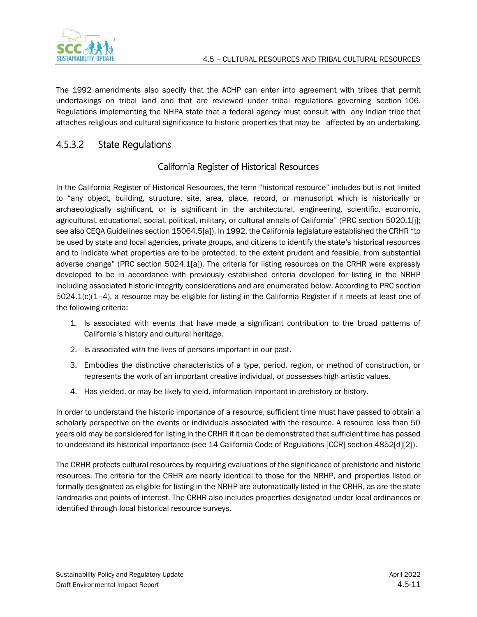

The 1992 amendments also specify that the ACHP can enter into agreement with tribes that permit undertakings on tribal land and that are reviewed under tribal regulations governing section 106. Regulations implementing the NHPA state that a federal agency must consult with any Indian tribe that attaches religious and cultural significance to historic properties that may be affected by an undertaking.

## 4.5.3.2 State Regulations

### California Register of Historical Resources

In the California Register of Historical Resources, the term "historical resource" includes but is not limited to "any object, building, structure, site, area, place, record, or manuscript which is historically or archaeologically significant, or is significant in the architectural, engineering, scientific, economic, agricultural, educational, social, political, military, or cultural annals of California" (PRC section 5020.1[j]; see also CEQA Guidelines section 15064.5[a]). In 1992, the California legislature established the CRHR "to be used by state and local agencies, private groups, and citizens to identify the state's historical resources and to indicate what properties are to be protected, to the extent prudent and feasible, from substantial adverse change" (PRC section 5024.1[a]). The criteria for listing resources on the CRHR were expressly developed to be in accordance with previously established criteria developed for listing in the NRHP including associated historic integrity considerations and are enumerated below. According to PRC section 5024.1(c)(1–4), a resource may be eligible for listing in the California Register if it meets at least one of the following criteria:

- 1. Is associated with events that have made a significant contribution to the broad patterns of California's history and cultural heritage.
- 2. Is associated with the lives of persons important in our past.
- 3. Embodies the distinctive characteristics of a type, period, region, or method of construction, or represents the work of an important creative individual, or possesses high artistic values.
- 4. Has yielded, or may be likely to yield, information important in prehistory or history.

In order to understand the historic importance of a resource, sufficient time must have passed to obtain a scholarly perspective on the events or individuals associated with the resource. A resource less than 50 years old may be considered for listing in the CRHR if it can be demonstrated that sufficient time has passed to understand its historical importance (see 14 California Code of Regulations [CCR] section 4852[d][2]).

The CRHR protects cultural resources by requiring evaluations of the significance of prehistoric and historic resources. The criteria for the CRHR are nearly identical to those for the NRHP, and properties listed or formally designated as eligible for listing in the NRHP are automatically listed in the CRHR, as are the state landmarks and points of interest. The CRHR also includes properties designated under local ordinances or identified through local historical resource surveys.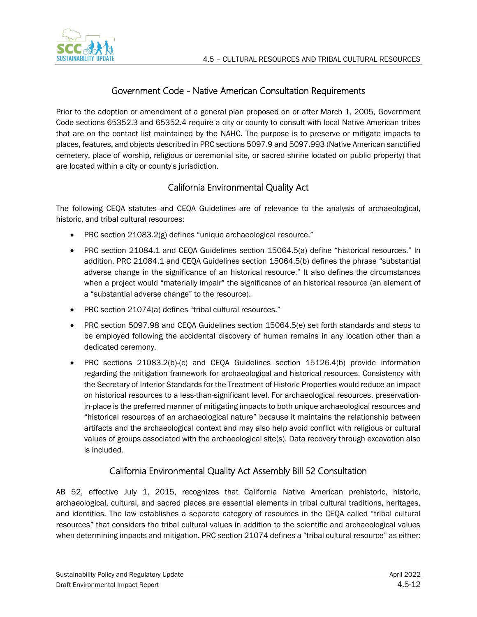

### Government Code - Native American Consultation Requirements

Prior to the adoption or amendment of a general plan proposed on or after March 1, 2005, Government Code sections 65352.3 and 65352.4 require a city or county to consult with local Native American tribes that are on the contact list maintained by the NAHC. The purpose is to preserve or mitigate impacts to places, features, and objects described in PRC sections 5097.9 and 5097.993 (Native American sanctified cemetery, place of worship, religious or ceremonial site, or sacred shrine located on public property) that are located within a city or county's jurisdiction.

## California Environmental Quality Act

The following CEQA statutes and CEQA Guidelines are of relevance to the analysis of archaeological, historic, and tribal cultural resources:

- PRC section 21083.2(g) defines "unique archaeological resource."
- PRC section 21084.1 and CEQA Guidelines section 15064.5(a) define "historical resources." In addition, PRC 21084.1 and CEQA Guidelines section 15064.5(b) defines the phrase "substantial adverse change in the significance of an historical resource." It also defines the circumstances when a project would "materially impair" the significance of an historical resource (an element of a "substantial adverse change" to the resource).
- PRC section 21074(a) defines "tribal cultural resources."
- PRC section 5097.98 and CEQA Guidelines section 15064.5(e) set forth standards and steps to be employed following the accidental discovery of human remains in any location other than a dedicated ceremony.
- PRC sections 21083.2(b)-(c) and CEQA Guidelines section 15126.4(b) provide information regarding the mitigation framework for archaeological and historical resources. Consistency with the Secretary of Interior Standards for the Treatment of Historic Properties would reduce an impact on historical resources to a less-than-significant level. For archaeological resources, preservationin-place is the preferred manner of mitigating impacts to both unique archaeological resources and "historical resources of an archaeological nature" because it maintains the relationship between artifacts and the archaeological context and may also help avoid conflict with religious or cultural values of groups associated with the archaeological site(s). Data recovery through excavation also is included.

### California Environmental Quality Act Assembly Bill 52 Consultation

AB 52, effective July 1, 2015, recognizes that California Native American prehistoric, historic, archaeological, cultural, and sacred places are essential elements in tribal cultural traditions, heritages, and identities. The law establishes a separate category of resources in the CEQA called "tribal cultural resources" that considers the tribal cultural values in addition to the scientific and archaeological values when determining impacts and mitigation. PRC section 21074 defines a "tribal cultural resource" as either: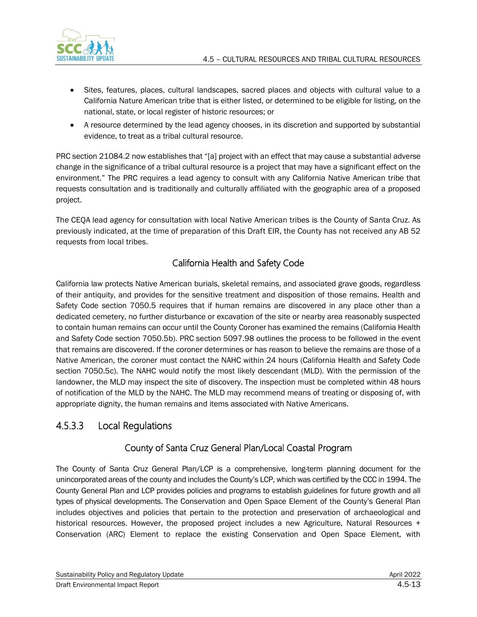

- Sites, features, places, cultural landscapes, sacred places and objects with cultural value to a California Nature American tribe that is either listed, or determined to be eligible for listing, on the national, state, or local register of historic resources; or
- A resource determined by the lead agency chooses, in its discretion and supported by substantial evidence, to treat as a tribal cultural resource.

PRC section 21084.2 now establishes that "[a] project with an effect that may cause a substantial adverse change in the significance of a tribal cultural resource is a project that may have a significant effect on the environment." The PRC requires a lead agency to consult with any California Native American tribe that requests consultation and is traditionally and culturally affiliated with the geographic area of a proposed project.

The CEQA lead agency for consultation with local Native American tribes is the County of Santa Cruz. As previously indicated, at the time of preparation of this Draft EIR, the County has not received any AB 52 requests from local tribes.

## California Health and Safety Code

California law protects Native American burials, skeletal remains, and associated grave goods, regardless of their antiquity, and provides for the sensitive treatment and disposition of those remains. Health and Safety Code section 7050.5 requires that if human remains are discovered in any place other than a dedicated cemetery, no further disturbance or excavation of the site or nearby area reasonably suspected to contain human remains can occur until the County Coroner has examined the remains (California Health and Safety Code section 7050.5b). PRC section 5097.98 outlines the process to be followed in the event that remains are discovered. If the coroner determines or has reason to believe the remains are those of a Native American, the coroner must contact the NAHC within 24 hours (California Health and Safety Code section 7050.5c). The NAHC would notify the most likely descendant (MLD). With the permission of the landowner, the MLD may inspect the site of discovery. The inspection must be completed within 48 hours of notification of the MLD by the NAHC. The MLD may recommend means of treating or disposing of, with appropriate dignity, the human remains and items associated with Native Americans.

## 4.5.3.3 Local Regulations

## County of Santa Cruz General Plan/Local Coastal Program

The County of Santa Cruz General Plan/LCP is a comprehensive, long-term planning document for the unincorporated areas of the county and includes the County's LCP, which was certified by the CCC in 1994. The County General Plan and LCP provides policies and programs to establish guidelines for future growth and all types of physical developments. The Conservation and Open Space Element of the County's General Plan includes objectives and policies that pertain to the protection and preservation of archaeological and historical resources. However, the proposed project includes a new Agriculture, Natural Resources + Conservation (ARC) Element to replace the existing Conservation and Open Space Element, with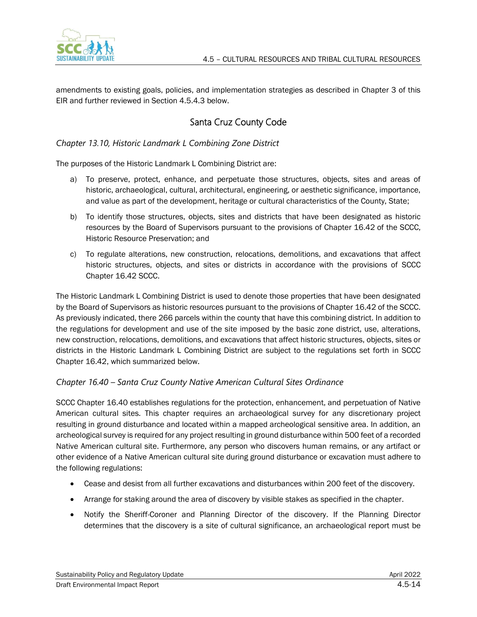

amendments to existing goals, policies, and implementation strategies as described in Chapter 3 of this EIR and further reviewed in Section 4.5.4.3 below.

## Santa Cruz County Code

*Chapter 13.10, Historic Landmark L Combining Zone District*

The purposes of the Historic Landmark L Combining District are:

- a) To preserve, protect, enhance, and perpetuate those structures, objects, sites and areas of historic, archaeological, cultural, architectural, engineering, or aesthetic significance, importance, and value as part of the development, heritage or cultural characteristics of the County, State;
- b) To identify those structures, objects, sites and districts that have been designated as historic resources by the Board of Supervisors pursuant to the provisions of Chapter [16.42](https://www.codepublishing.com/CA/SantaCruzCounty/#!/SantaCruzCounty16/SantaCruzCounty1642.html#16.42) of the SCCC, Historic Resource Preservation; and
- c) To regulate alterations, new construction, relocations, demolitions, and excavations that affect historic structures, objects, and sites or districts in accordance with the provisions of SCCC Chapter [16.42](https://www.codepublishing.com/CA/SantaCruzCounty/#!/SantaCruzCounty16/SantaCruzCounty1642.html#16.42) SCCC.

The Historic Landmark L Combining District is used to denote those properties that have been designated by the Board of Supervisors as historic resources pursuant to the provisions of Chapter 16.42 of the SCCC. As previously indicated, there 266 parcels within the county that have this combining district. In addition to the regulations for development and use of the site imposed by the basic zone district, use, alterations, new construction, relocations, demolitions, and excavations that affect historic structures, objects, sites or districts in the Historic Landmark L Combining District are subject to the regulations set forth in SCCC Chapter 16.42, which summarized below.

#### *Chapter 16.40 – Santa Cruz County Native American Cultural Sites Ordinance*

SCCC Chapter 16.40 establishes regulations for the protection, enhancement, and perpetuation of Native American cultural sites. This chapter requires an archaeological survey for any discretionary project resulting in ground disturbance and located within a mapped archeological sensitive area. In addition, an archeological survey is required for any project resulting in ground disturbance within 500 feet of a recorded Native American cultural site. Furthermore, any person who discovers human remains, or any artifact or other evidence of a Native American cultural site during ground disturbance or excavation must adhere to the following regulations:

- Cease and desist from all further excavations and disturbances within 200 feet of the discovery.
- Arrange for staking around the area of discovery by visible stakes as specified in the chapter.
- Notify the Sheriff-Coroner and Planning Director of the discovery. If the Planning Director determines that the discovery is a site of cultural significance, an archaeological report must be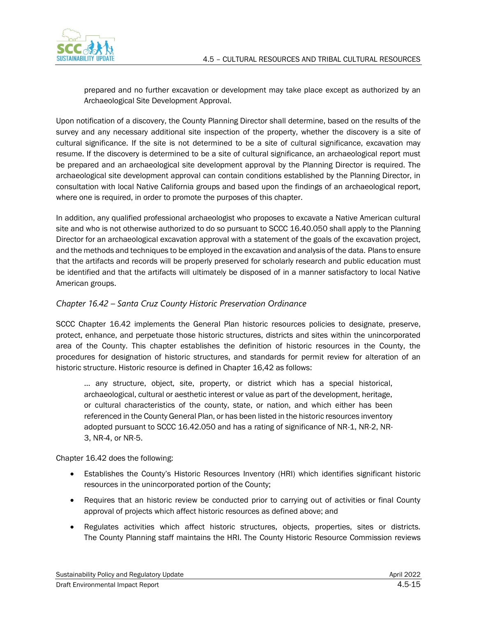

prepared and no further excavation or development may take place except as authorized by an Archaeological Site Development Approval.

Upon notification of a discovery, the County Planning Director shall determine, based on the results of the survey and any necessary additional site inspection of the property, whether the discovery is a site of cultural significance. If the site is not determined to be a site of cultural significance, excavation may resume. If the discovery is determined to be a site of cultural significance, an archaeological report must be prepared and an archaeological site development approval by the Planning Director is required. The archaeological site development approval can contain conditions established by the Planning Director, in consultation with local Native California groups and based upon the findings of an archaeological report, where one is required, in order to promote the purposes of this chapter.

In addition, any qualified professional archaeologist who proposes to excavate a Native American cultural site and who is not otherwise authorized to do so pursuant to SCCC 16.40.050 shall apply to the Planning Director for an archaeological excavation approval with a statement of the goals of the excavation project, and the methods and techniques to be employed in the excavation and analysis of the data. Plans to ensure that the artifacts and records will be properly preserved for scholarly research and public education must be identified and that the artifacts will ultimately be disposed of in a manner satisfactory to local Native American groups.

#### *Chapter 16.42 – Santa Cruz County Historic Preservation Ordinance*

SCCC Chapter 16.42 implements the General Plan historic resources policies to designate, preserve, protect, enhance, and perpetuate those historic structures, districts and sites within the unincorporated area of the County. This chapter establishes the definition of historic resources in the County, the procedures for designation of historic structures, and standards for permit review for alteration of an historic structure. Historic resource is defined in Chapter 16,42 as follows:

… any structure, object, site, property, or district which has a special historical, archaeological, cultural or aesthetic interest or value as part of the development, heritage, or cultural characteristics of the county, state, or nation, and which either has been referenced in the County General Plan, or has been listed in the historic resources inventory adopted pursuant to SCCC 16.42.050 and has a rating of significance of NR-1, NR-2, NR-3, NR-4, or NR-5.

Chapter 16.42 does the following:

- Establishes the County's Historic Resources Inventory (HRI) which identifies significant historic resources in the unincorporated portion of the County;
- Requires that an historic review be conducted prior to carrying out of activities or final County approval of projects which affect historic resources as defined above; and
- Regulates activities which affect historic structures, objects, properties, sites or districts. The County Planning staff maintains the HRI. The County Historic Resource Commission reviews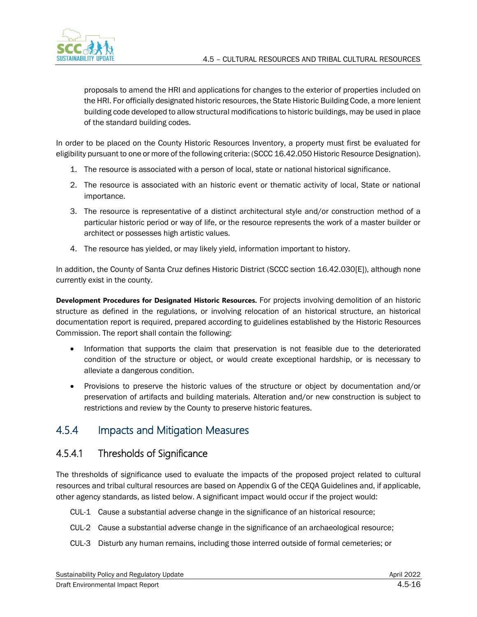

proposals to amend the HRI and applications for changes to the exterior of properties included on the HRI. For officially designated historic resources, the State Historic Building Code, a more lenient building code developed to allow structural modifications to historic buildings, may be used in place of the standard building codes.

In order to be placed on the County Historic Resources Inventory, a property must first be evaluated for eligibility pursuant to one or more of the following criteria: (SCCC 16.42.050 Historic Resource Designation).

- 1. The resource is associated with a person of local, state or national historical significance.
- 2. The resource is associated with an historic event or thematic activity of local, State or national importance.
- 3. The resource is representative of a distinct architectural style and/or construction method of a particular historic period or way of life, or the resource represents the work of a master builder or architect or possesses high artistic values.
- 4. The resource has yielded, or may likely yield, information important to history.

In addition, the County of Santa Cruz defines Historic District (SCCC section 16.42.030[E]), although none currently exist in the county.

**Development Procedures for Designated Historic Resources.** For projects involving demolition of an historic structure as defined in the regulations, or involving relocation of an historical structure, an historical documentation report is required, prepared according to guidelines established by the Historic Resources Commission. The report shall contain the following:

- Information that supports the claim that preservation is not feasible due to the deteriorated condition of the structure or object, or would create exceptional hardship, or is necessary to alleviate a dangerous condition.
- Provisions to preserve the historic values of the structure or object by documentation and/or preservation of artifacts and building materials. Alteration and/or new construction is subject to restrictions and review by the County to preserve historic features.

## 4.5.4 Impacts and Mitigation Measures

### 4.5.4.1 Thresholds of Significance

The thresholds of significance used to evaluate the impacts of the proposed project related to cultural resources and tribal cultural resources are based on Appendix G of the CEQA Guidelines and, if applicable, other agency standards, as listed below. A significant impact would occur if the project would:

- CUL-1 Cause a substantial adverse change in the significance of an historical resource;
- CUL-2 Cause a substantial adverse change in the significance of an archaeological resource;
- CUL-3 Disturb any human remains, including those interred outside of formal cemeteries; or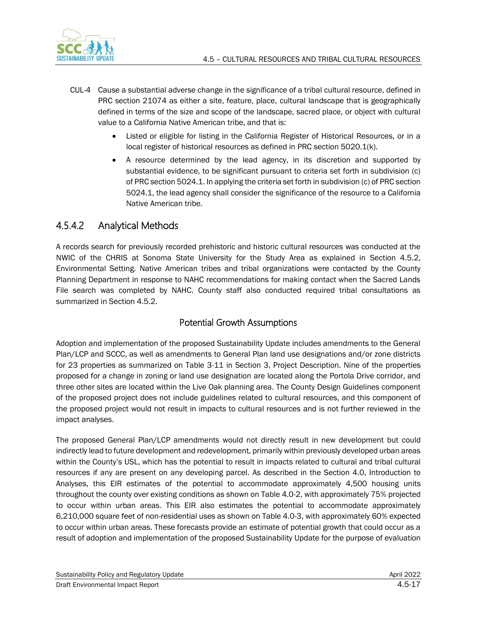

- CUL-4 Cause a substantial adverse change in the significance of a tribal cultural resource, defined in PRC section 21074 as either a site, feature, place, cultural landscape that is geographically defined in terms of the size and scope of the landscape, sacred place, or object with cultural value to a California Native American tribe, and that is:
	- Listed or eligible for listing in the California Register of Historical Resources, or in a local register of historical resources as defined in PRC section 5020.1(k).
	- A resource determined by the lead agency, in its discretion and supported by substantial evidence, to be significant pursuant to criteria set forth in subdivision (c) of PRC section 5024.1. In applying the criteria set forth in subdivision (c) of PRC section 5024.1, the lead agency shall consider the significance of the resource to a California Native American tribe.

## 4.5.4.2 Analytical Methods

A records search for previously recorded prehistoric and historic cultural resources was conducted at the NWIC of the CHRIS at Sonoma State University for the Study Area as explained in Section 4.5.2, Environmental Setting. Native American tribes and tribal organizations were contacted by the County Planning Department in response to NAHC recommendations for making contact when the Sacred Lands File search was completed by NAHC. County staff also conducted required tribal consultations as summarized in Section 4.5.2.

### Potential Growth Assumptions

Adoption and implementation of the proposed Sustainability Update includes amendments to the General Plan/LCP and SCCC, as well as amendments to General Plan land use designations and/or zone districts for 23 properties as summarized on Table 3-11 in Section 3, Project Description. Nine of the properties proposed for a change in zoning or land use designation are located along the Portola Drive corridor, and three other sites are located within the Live Oak planning area. The County Design Guidelines component of the proposed project does not include guidelines related to cultural resources, and this component of the proposed project would not result in impacts to cultural resources and is not further reviewed in the impact analyses.

The proposed General Plan/LCP amendments would not directly result in new development but could indirectly lead to future development and redevelopment, primarily within previously developed urban areas within the County's USL, which has the potential to result in impacts related to cultural and tribal cultural resources if any are present on any developing parcel. As described in the Section 4.0, Introduction to Analyses, this EIR estimates of the potential to accommodate approximately 4,500 housing units throughout the county over existing conditions as shown on Table 4.0-2, with approximately 75% projected to occur within urban areas. This EIR also estimates the potential to accommodate approximately 6,210,000 square feet of non-residential uses as shown on Table 4.0-3, with approximately 60% expected to occur within urban areas. These forecasts provide an estimate of potential growth that could occur as a result of adoption and implementation of the proposed Sustainability Update for the purpose of evaluation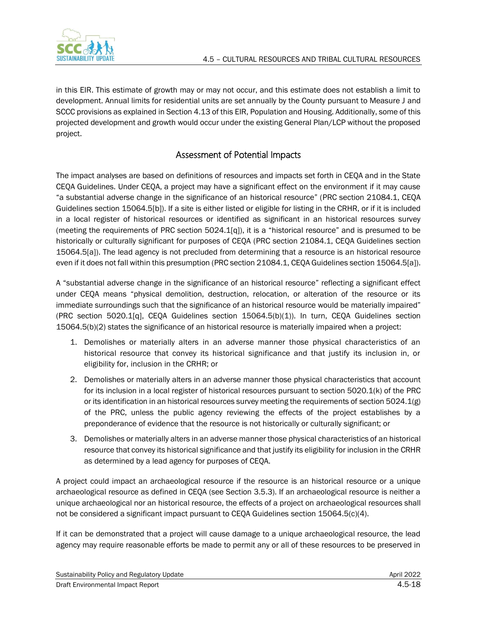

in this EIR. This estimate of growth may or may not occur, and this estimate does not establish a limit to development. Annual limits for residential units are set annually by the County pursuant to Measure J and SCCC provisions as explained in Section 4.13 of this EIR, Population and Housing. Additionally, some of this projected development and growth would occur under the existing General Plan/LCP without the proposed project.

### Assessment of Potential Impacts

The impact analyses are based on definitions of resources and impacts set forth in CEQA and in the State CEQA Guidelines. Under CEQA, a project may have a significant effect on the environment if it may cause "a substantial adverse change in the significance of an historical resource" (PRC section 21084.1, CEQA Guidelines section 15064.5[b]). If a site is either listed or eligible for listing in the CRHR, or if it is included in a local register of historical resources or identified as significant in an historical resources survey (meeting the requirements of PRC section 5024.1[q]), it is a "historical resource" and is presumed to be historically or culturally significant for purposes of CEQA (PRC section 21084.1, CEQA Guidelines section 15064.5[a]). The lead agency is not precluded from determining that a resource is an historical resource even if it does not fall within this presumption (PRC section 21084.1, CEQA Guidelines section 15064.5[a]).

A "substantial adverse change in the significance of an historical resource" reflecting a significant effect under CEQA means "physical demolition, destruction, relocation, or alteration of the resource or its immediate surroundings such that the significance of an historical resource would be materially impaired" (PRC section 5020.1[q], CEQA Guidelines section 15064.5(b)(1)). In turn, CEQA Guidelines section 15064.5(b)(2) states the significance of an historical resource is materially impaired when a project:

- 1. Demolishes or materially alters in an adverse manner those physical characteristics of an historical resource that convey its historical significance and that justify its inclusion in, or eligibility for, inclusion in the CRHR; or
- 2. Demolishes or materially alters in an adverse manner those physical characteristics that account for its inclusion in a local register of historical resources pursuant to section 5020.1(k) of the PRC or its identification in an historical resources survey meeting the requirements of section 5024.1(g) of the PRC, unless the public agency reviewing the effects of the project establishes by a preponderance of evidence that the resource is not historically or culturally significant; or
- 3. Demolishes or materially alters in an adverse manner those physical characteristics of an historical resource that convey its historical significance and that justify its eligibility for inclusion in the CRHR as determined by a lead agency for purposes of CEQA.

A project could impact an archaeological resource if the resource is an historical resource or a unique archaeological resource as defined in CEQA (see Section 3.5.3). If an archaeological resource is neither a unique archaeological nor an historical resource, the effects of a project on archaeological resources shall not be considered a significant impact pursuant to CEQA Guidelines section 15064.5(c)(4).

If it can be demonstrated that a project will cause damage to a unique archaeological resource, the lead agency may require reasonable efforts be made to permit any or all of these resources to be preserved in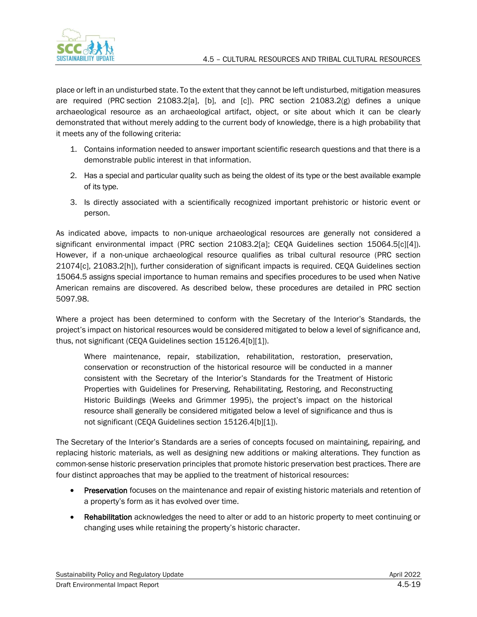

place or left in an undisturbed state. To the extent that they cannot be left undisturbed, mitigation measures are required (PRC section 21083.2[a], [b], and [c]). PRC section 21083.2(g) defines a unique archaeological resource as an archaeological artifact, object, or site about which it can be clearly demonstrated that without merely adding to the current body of knowledge, there is a high probability that it meets any of the following criteria:

- 1. Contains information needed to answer important scientific research questions and that there is a demonstrable public interest in that information.
- 2. Has a special and particular quality such as being the oldest of its type or the best available example of its type.
- 3. Is directly associated with a scientifically recognized important prehistoric or historic event or person.

As indicated above, impacts to non-unique archaeological resources are generally not considered a significant environmental impact (PRC section 21083.2[a]; CEQA Guidelines section 15064.5[c][4]). However, if a non-unique archaeological resource qualifies as tribal cultural resource (PRC section 21074[c], 21083.2[h]), further consideration of significant impacts is required. CEQA Guidelines section 15064.5 assigns special importance to human remains and specifies procedures to be used when Native American remains are discovered. As described below, these procedures are detailed in PRC section 5097.98.

Where a project has been determined to conform with the Secretary of the Interior's Standards, the project's impact on historical resources would be considered mitigated to below a level of significance and, thus, not significant (CEQA Guidelines section 15126.4[b][1]).

Where maintenance, repair, stabilization, rehabilitation, restoration, preservation, conservation or reconstruction of the historical resource will be conducted in a manner consistent with the Secretary of the Interior's Standards for the Treatment of Historic Properties with Guidelines for Preserving, Rehabilitating, Restoring, and Reconstructing Historic Buildings (Weeks and Grimmer 1995), the project's impact on the historical resource shall generally be considered mitigated below a level of significance and thus is not significant (CEQA Guidelines section 15126.4[b][1]).

The Secretary of the Interior's Standards are a series of concepts focused on maintaining, repairing, and replacing historic materials, as well as designing new additions or making alterations. They function as common-sense historic preservation principles that promote historic preservation best practices. There are four distinct approaches that may be applied to the treatment of historical resources:

- **Preservation** focuses on the maintenance and repair of existing historic materials and retention of a property's form as it has evolved over time.
- Rehabilitation acknowledges the need to alter or add to an historic property to meet continuing or changing uses while retaining the property's historic character.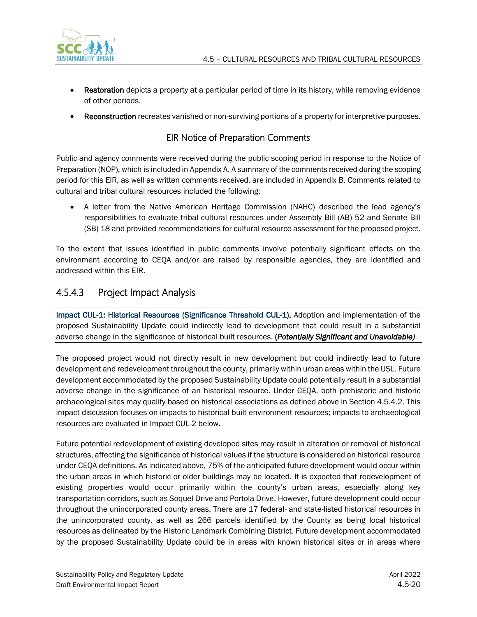

- Restoration depicts a property at a particular period of time in its history, while removing evidence of other periods.
- Reconstruction recreates vanished or non-surviving portions of a property for interpretive purposes.

### EIR Notice of Preparation Comments

Public and agency comments were received during the public scoping period in response to the Notice of Preparation (NOP), which is included in Appendix A. A summary of the comments received during the scoping period for this EIR, as well as written comments received, are included in Appendix B. Comments related to cultural and tribal cultural resources included the following:

• A letter from the Native American Heritage Commission (NAHC) described the lead agency's responsibilities to evaluate tribal cultural resources under Assembly Bill (AB) 52 and Senate Bill (SB) 18 and provided recommendations for cultural resource assessment for the proposed project.

To the extent that issues identified in public comments involve potentially significant effects on the environment according to CEQA and/or are raised by responsible agencies, they are identified and addressed within this EIR.

## 4.5.4.3 Project Impact Analysis

Impact CUL-1: Historical Resources (Significance Threshold CUL-1). Adoption and implementation of the proposed Sustainability Update could indirectly lead to development that could result in a substantial adverse change in the significance of historical built resources. (*Potentially Significant and Unavoidable)*

The proposed project would not directly result in new development but could indirectly lead to future development and redevelopment throughout the county, primarily within urban areas within the USL. Future development accommodated by the proposed Sustainability Update could potentially result in a substantial adverse change in the significance of an historical resource. Under CEQA, both prehistoric and historic archaeological sites may qualify based on historical associations as defined above in Section 4.5.4.2. This impact discussion focuses on impacts to historical built environment resources; impacts to archaeological resources are evaluated in Impact CUL-2 below.

Future potential redevelopment of existing developed sites may result in alteration or removal of historical structures, affecting the significance of historical values if the structure is considered an historical resource under CEQA definitions. As indicated above, 75% of the anticipated future development would occur within the urban areas in which historic or older buildings may be located. It is expected that redevelopment of existing properties would occur primarily within the county's urban areas, especially along key transportation corridors, such as Soquel Drive and Portola Drive. However, future development could occur throughout the unincorporated county areas. There are 17 federal- and state-listed historical resources in the unincorporated county, as well as 266 parcels identified by the County as being local historical resources as delineated by the Historic Landmark Combining District. Future development accommodated by the proposed Sustainability Update could be in areas with known historical sites or in areas where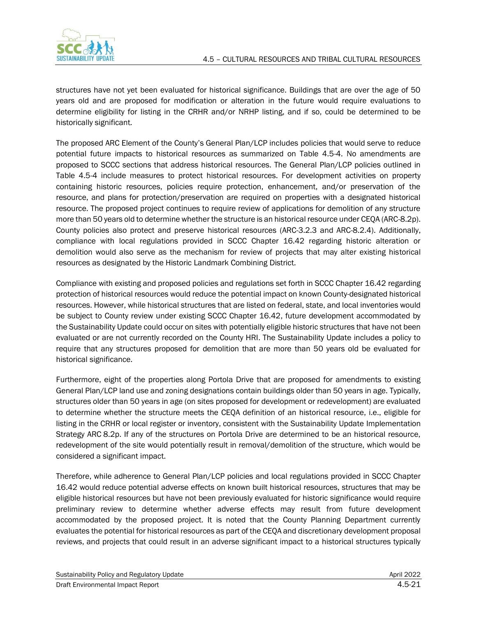

structures have not yet been evaluated for historical significance. Buildings that are over the age of 50 years old and are proposed for modification or alteration in the future would require evaluations to determine eligibility for listing in the CRHR and/or NRHP listing, and if so, could be determined to be historically significant.

The proposed ARC Element of the County's General Plan/LCP includes policies that would serve to reduce potential future impacts to historical resources as summarized on Table 4.5-4. No amendments are proposed to SCCC sections that address historical resources. The General Plan/LCP policies outlined in Table 4.5-4 include measures to protect historical resources. For development activities on property containing historic resources, policies require protection, enhancement, and/or preservation of the resource, and plans for protection/preservation are required on properties with a designated historical resource. The proposed project continues to require review of applications for demolition of any structure more than 50 years old to determine whether the structure is an historical resource under CEQA (ARC-8.2p). County policies also protect and preserve historical resources (ARC-3.2.3 and ARC-8.2.4). Additionally, compliance with local regulations provided in SCCC Chapter 16.42 regarding historic alteration or demolition would also serve as the mechanism for review of projects that may alter existing historical resources as designated by the Historic Landmark Combining District.

Compliance with existing and proposed policies and regulations set forth in SCCC Chapter 16.42 regarding protection of historical resources would reduce the potential impact on known County-designated historical resources. However, while historical structures that are listed on federal, state, and local inventories would be subject to County review under existing SCCC Chapter 16.42, future development accommodated by the Sustainability Update could occur on sites with potentially eligible historic structures that have not been evaluated or are not currently recorded on the County HRI. The Sustainability Update includes a policy to require that any structures proposed for demolition that are more than 50 years old be evaluated for historical significance.

Furthermore, eight of the properties along Portola Drive that are proposed for amendments to existing General Plan/LCP land use and zoning designations contain buildings older than 50 years in age. Typically, structures older than 50 years in age (on sites proposed for development or redevelopment) are evaluated to determine whether the structure meets the CEQA definition of an historical resource, i.e., eligible for listing in the CRHR or local register or inventory, consistent with the Sustainability Update Implementation Strategy ARC 8.2p. If any of the structures on Portola Drive are determined to be an historical resource, redevelopment of the site would potentially result in removal/demolition of the structure, which would be considered a significant impact.

Therefore, while adherence to General Plan/LCP policies and local regulations provided in SCCC Chapter 16.42 would reduce potential adverse effects on known built historical resources, structures that may be eligible historical resources but have not been previously evaluated for historic significance would require preliminary review to determine whether adverse effects may result from future development accommodated by the proposed project. It is noted that the County Planning Department currently evaluates the potential for historical resources as part of the CEQA and discretionary development proposal reviews, and projects that could result in an adverse significant impact to a historical structures typically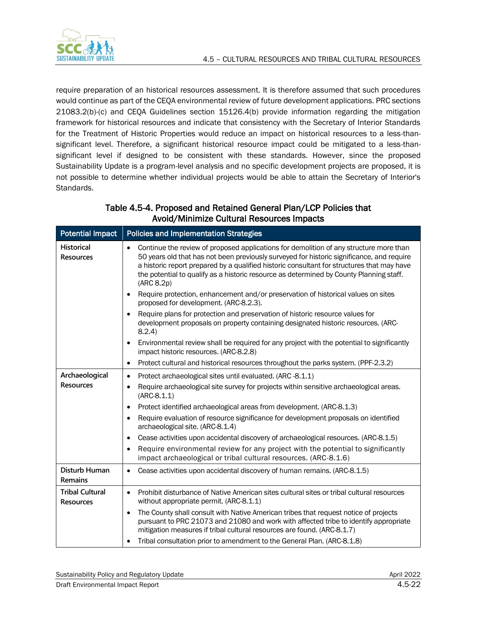

require preparation of an historical resources assessment. It is therefore assumed that such procedures would continue as part of the CEQA environmental review of future development applications. PRC sections 21083.2(b)-(c) and CEQA Guidelines section 15126.4(b) provide information regarding the mitigation framework for historical resources and indicate that consistency with the Secretary of Interior Standards for the Treatment of Historic Properties would reduce an impact on historical resources to a less-thansignificant level. Therefore, a significant historical resource impact could be mitigated to a less-thansignificant level if designed to be consistent with these standards. However, since the proposed Sustainability Update is a program-level analysis and no specific development projects are proposed, it is not possible to determine whether individual projects would be able to attain the Secretary of Interior's Standards.

| <b>Potential Impact</b>                    | <b>Policies and Implementation Strategies</b>                                                                                                                                                                                                                                                                                                                                                           |
|--------------------------------------------|---------------------------------------------------------------------------------------------------------------------------------------------------------------------------------------------------------------------------------------------------------------------------------------------------------------------------------------------------------------------------------------------------------|
| <b>Historical</b><br><b>Resources</b>      | Continue the review of proposed applications for demolition of any structure more than<br>$\bullet$<br>50 years old that has not been previously surveyed for historic significance, and require<br>a historic report prepared by a qualified historic consultant for structures that may have<br>the potential to qualify as a historic resource as determined by County Planning staff.<br>(ARC 8.2p) |
|                                            | Require protection, enhancement and/or preservation of historical values on sites<br>proposed for development. (ARC-8.2.3).                                                                                                                                                                                                                                                                             |
|                                            | Require plans for protection and preservation of historic resource values for<br>development proposals on property containing designated historic resources. (ARC-<br>8.2.4                                                                                                                                                                                                                             |
|                                            | Environmental review shall be required for any project with the potential to significantly<br>impact historic resources. (ARC-8.2.8)                                                                                                                                                                                                                                                                    |
|                                            | Protect cultural and historical resources throughout the parks system. (PPF-2.3.2)<br>$\bullet$                                                                                                                                                                                                                                                                                                         |
| Archaeological                             | Protect archaeological sites until evaluated. (ARC-8.1.1)<br>$\bullet$                                                                                                                                                                                                                                                                                                                                  |
| <b>Resources</b>                           | Require archaeological site survey for projects within sensitive archaeological areas.<br>$\bullet$<br>$(ARC-8.1.1)$                                                                                                                                                                                                                                                                                    |
|                                            | Protect identified archaeological areas from development. (ARC-8.1.3)                                                                                                                                                                                                                                                                                                                                   |
|                                            | Require evaluation of resource significance for development proposals on identified<br>archaeological site. (ARC-8.1.4)                                                                                                                                                                                                                                                                                 |
|                                            | Cease activities upon accidental discovery of archaeological resources. (ARC-8.1.5)                                                                                                                                                                                                                                                                                                                     |
|                                            | Require environmental review for any project with the potential to significantly<br>impact archaeological or tribal cultural resources. (ARC-8.1.6)                                                                                                                                                                                                                                                     |
| Disturb Human<br>Remains                   | Cease activities upon accidental discovery of human remains. (ARC-8.1.5)<br>$\bullet$                                                                                                                                                                                                                                                                                                                   |
| <b>Tribal Cultural</b><br><b>Resources</b> | Prohibit disturbance of Native American sites cultural sites or tribal cultural resources<br>$\bullet$<br>without appropriate permit. (ARC-8.1.1)                                                                                                                                                                                                                                                       |
|                                            | The County shall consult with Native American tribes that request notice of projects<br>pursuant to PRC 21073 and 21080 and work with affected tribe to identify appropriate<br>mitigation measures if tribal cultural resources are found. (ARC-8.1.7)                                                                                                                                                 |
|                                            | Tribal consultation prior to amendment to the General Plan. (ARC-8.1.8)                                                                                                                                                                                                                                                                                                                                 |

### Table 4.5-4. Proposed and Retained General Plan/LCP Policies that Avoid/Minimize Cultural Resources Impacts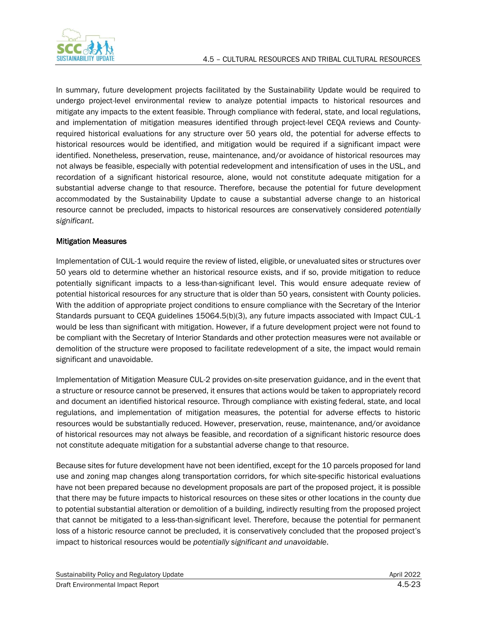In summary, future development projects facilitated by the Sustainability Update would be required to undergo project-level environmental review to analyze potential impacts to historical resources and mitigate any impacts to the extent feasible. Through compliance with federal, state, and local regulations, and implementation of mitigation measures identified through project-level CEQA reviews and Countyrequired historical evaluations for any structure over 50 years old, the potential for adverse effects to historical resources would be identified, and mitigation would be required if a significant impact were identified. Nonetheless, preservation, reuse, maintenance, and/or avoidance of historical resources may not always be feasible, especially with potential redevelopment and intensification of uses in the USL, and recordation of a significant historical resource, alone, would not constitute adequate mitigation for a substantial adverse change to that resource. Therefore, because the potential for future development accommodated by the Sustainability Update to cause a substantial adverse change to an historical resource cannot be precluded, impacts to historical resources are conservatively considered *potentially significant*.

#### Mitigation Measures

Implementation of CUL-1 would require the review of listed, eligible, or unevaluated sites or structures over 50 years old to determine whether an historical resource exists, and if so, provide mitigation to reduce potentially significant impacts to a less-than-significant level. This would ensure adequate review of potential historical resources for any structure that is older than 50 years, consistent with County policies. With the addition of appropriate project conditions to ensure compliance with the Secretary of the Interior Standards pursuant to CEQA guidelines 15064.5(b)(3), any future impacts associated with Impact CUL-1 would be less than significant with mitigation. However, if a future development project were not found to be compliant with the Secretary of Interior Standards and other protection measures were not available or demolition of the structure were proposed to facilitate redevelopment of a site, the impact would remain significant and unavoidable.

Implementation of Mitigation Measure CUL-2 provides on-site preservation guidance, and in the event that a structure or resource cannot be preserved, it ensures that actions would be taken to appropriately record and document an identified historical resource. Through compliance with existing federal, state, and local regulations, and implementation of mitigation measures, the potential for adverse effects to historic resources would be substantially reduced. However, preservation, reuse, maintenance, and/or avoidance of historical resources may not always be feasible, and recordation of a significant historic resource does not constitute adequate mitigation for a substantial adverse change to that resource.

Because sites for future development have not been identified, except for the 10 parcels proposed for land use and zoning map changes along transportation corridors, for which site-specific historical evaluations have not been prepared because no development proposals are part of the proposed project, it is possible that there may be future impacts to historical resources on these sites or other locations in the county due to potential substantial alteration or demolition of a building, indirectly resulting from the proposed project that cannot be mitigated to a less-than-significant level. Therefore, because the potential for permanent loss of a historic resource cannot be precluded, it is conservatively concluded that the proposed project's impact to historical resources would be *potentially significant and unavoidable*.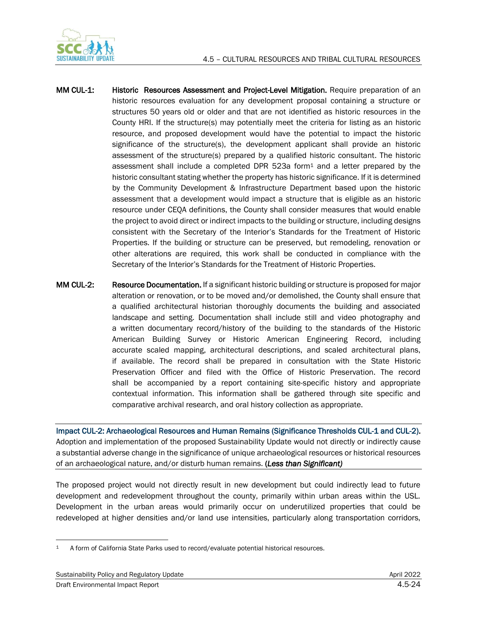



- MM CUL-1: Historic Resources Assessment and Project-Level Mitigation. Require preparation of an historic resources evaluation for any development proposal containing a structure or structures 50 years old or older and that are not identified as historic resources in the County HRI. If the structure(s) may potentially meet the criteria for listing as an historic resource, and proposed development would have the potential to impact the historic significance of the structure(s), the development applicant shall provide an historic assessment of the structure(s) prepared by a qualified historic consultant. The historic assessment shall include a completed DPR 523a form $1$  and a letter prepared by the historic consultant stating whether the property has historic significance. If it is determined by the Community Development & Infrastructure Department based upon the historic assessment that a development would impact a structure that is eligible as an historic resource under CEQA definitions, the County shall consider measures that would enable the project to avoid direct or indirect impacts to the building or structure, including designs consistent with the Secretary of the Interior's Standards for the Treatment of Historic Properties. If the building or structure can be preserved, but remodeling, renovation or other alterations are required, this work shall be conducted in compliance with the Secretary of the Interior's Standards for the Treatment of Historic Properties.
- MM CUL-2: Resource Documentation. If a significant historic building or structure is proposed for major alteration or renovation, or to be moved and/or demolished, the County shall ensure that a qualified architectural historian thoroughly documents the building and associated landscape and setting. Documentation shall include still and video photography and a written documentary record/history of the building to the standards of the Historic American Building Survey or Historic American Engineering Record, including accurate scaled mapping, architectural descriptions, and scaled architectural plans, if available. The record shall be prepared in consultation with the State Historic Preservation Officer and filed with the Office of Historic Preservation. The record shall be accompanied by a report containing site-specific history and appropriate contextual information. This information shall be gathered through site specific and comparative archival research, and oral history collection as appropriate.

Impact CUL-2: Archaeological Resources and Human Remains (Significance Thresholds CUL-1 and CUL-2). Adoption and implementation of the proposed Sustainability Update would not directly or indirectly cause a substantial adverse change in the significance of unique archaeological resources or historical resources of an archaeological nature, and/or disturb human remains. (*Less than Significant)*

The proposed project would not directly result in new development but could indirectly lead to future development and redevelopment throughout the county, primarily within urban areas within the USL. Development in the urban areas would primarily occur on underutilized properties that could be redeveloped at higher densities and/or land use intensities, particularly along transportation corridors,

<sup>1</sup> A form of California State Parks used to record/evaluate potential historical resources.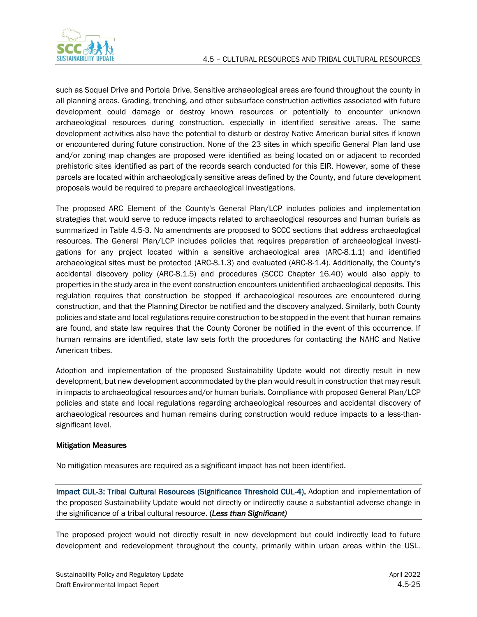

such as Soquel Drive and Portola Drive. Sensitive archaeological areas are found throughout the county in all planning areas. Grading, trenching, and other subsurface construction activities associated with future development could damage or destroy known resources or potentially to encounter unknown archaeological resources during construction, especially in identified sensitive areas. The same development activities also have the potential to disturb or destroy Native American burial sites if known or encountered during future construction. None of the 23 sites in which specific General Plan land use and/or zoning map changes are proposed were identified as being located on or adjacent to recorded prehistoric sites identified as part of the records search conducted for this EIR. However, some of these parcels are located within archaeologically sensitive areas defined by the County, and future development proposals would be required to prepare archaeological investigations.

The proposed ARC Element of the County's General Plan/LCP includes policies and implementation strategies that would serve to reduce impacts related to archaeological resources and human burials as summarized in Table 4.5-3. No amendments are proposed to SCCC sections that address archaeological resources. The General Plan/LCP includes policies that requires preparation of archaeological investigations for any project located within a sensitive archaeological area (ARC-8.1.1) and identified archaeological sites must be protected (ARC-8.1.3) and evaluated (ARC-8-1.4). Additionally, the County's accidental discovery policy (ARC-8.1.5) and procedures (SCCC Chapter 16.40) would also apply to properties in the study area in the event construction encounters unidentified archaeological deposits. This regulation requires that construction be stopped if archaeological resources are encountered during construction, and that the Planning Director be notified and the discovery analyzed. Similarly, both County policies and state and local regulations require construction to be stopped in the event that human remains are found, and state law requires that the County Coroner be notified in the event of this occurrence. If human remains are identified, state law sets forth the procedures for contacting the NAHC and Native American tribes.

Adoption and implementation of the proposed Sustainability Update would not directly result in new development, but new development accommodated by the plan would result in construction that may result in impacts to archaeological resources and/or human burials. Compliance with proposed General Plan/LCP policies and state and local regulations regarding archaeological resources and accidental discovery of archaeological resources and human remains during construction would reduce impacts to a less-thansignificant level.

#### Mitigation Measures

No mitigation measures are required as a significant impact has not been identified.

Impact CUL-3: Tribal Cultural Resources (Significance Threshold CUL-4). Adoption and implementation of the proposed Sustainability Update would not directly or indirectly cause a substantial adverse change in the significance of a tribal cultural resource. (*Less than Significant)*

The proposed project would not directly result in new development but could indirectly lead to future development and redevelopment throughout the county, primarily within urban areas within the USL.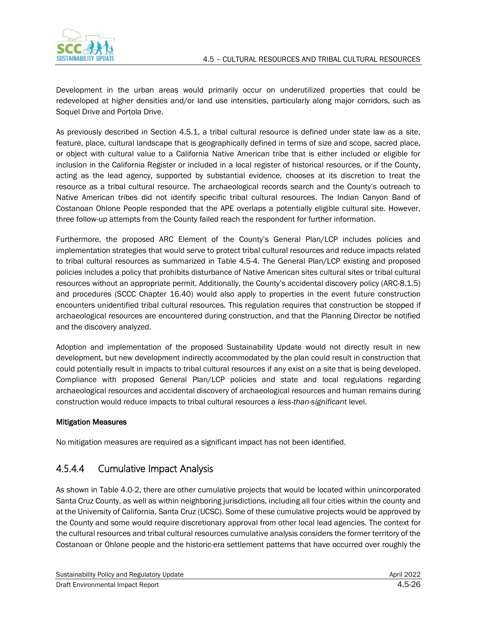Development in the urban areas would primarily occur on underutilized properties that could be redeveloped at higher densities and/or land use intensities, particularly along major corridors, such as Soquel Drive and Portola Drive.

As previously described in Section 4.5.1, a tribal cultural resource is defined under state law as a site, feature, place, cultural landscape that is geographically defined in terms of size and scope, sacred place, or object with cultural value to a California Native American tribe that is either included or eligible for inclusion in the California Register or included in a local register of historical resources, or if the County, acting as the lead agency, supported by substantial evidence, chooses at its discretion to treat the resource as a tribal cultural resource. The archaeological records search and the County's outreach to Native American tribes did not identify specific tribal cultural resources. The Indian Canyon Band of Costanoan Ohlone People responded that the APE overlaps a potentially eligible cultural site. However, three follow-up attempts from the County failed reach the respondent for further information.

Furthermore, the proposed ARC Element of the County's General Plan/LCP includes policies and implementation strategies that would serve to protect tribal cultural resources and reduce impacts related to tribal cultural resources as summarized in Table 4.5-4. The General Plan/LCP existing and proposed policies includes a policy that prohibits disturbance of Native American sites cultural sites or tribal cultural resources without an appropriate permit. Additionally, the County's accidental discovery policy (ARC-8.1.5) and procedures (SCCC Chapter 16.40) would also apply to properties in the event future construction encounters unidentified tribal cultural resources. This regulation requires that construction be stopped if archaeological resources are encountered during construction, and that the Planning Director be notified and the discovery analyzed.

Adoption and implementation of the proposed Sustainability Update would not directly result in new development, but new development indirectly accommodated by the plan could result in construction that could potentially result in impacts to tribal cultural resources if any exist on a site that is being developed. Compliance with proposed General Plan/LCP policies and state and local regulations regarding archaeological resources and accidental discovery of archaeological resources and human remains during construction would reduce impacts to tribal cultural resources a *less-than-significant* level.

#### Mitigation Measures

No mitigation measures are required as a significant impact has not been identified.

## 4.5.4.4 Cumulative Impact Analysis

As shown in Table 4.0-2, there are other cumulative projects that would be located within unincorporated Santa Cruz County, as well as within neighboring jurisdictions, including all four cities within the county and at the University of California, Santa Cruz (UCSC). Some of these cumulative projects would be approved by the County and some would require discretionary approval from other local lead agencies. The context for the cultural resources and tribal cultural resources cumulative analysis considers the former territory of the Costanoan or Ohlone people and the historic-era settlement patterns that have occurred over roughly the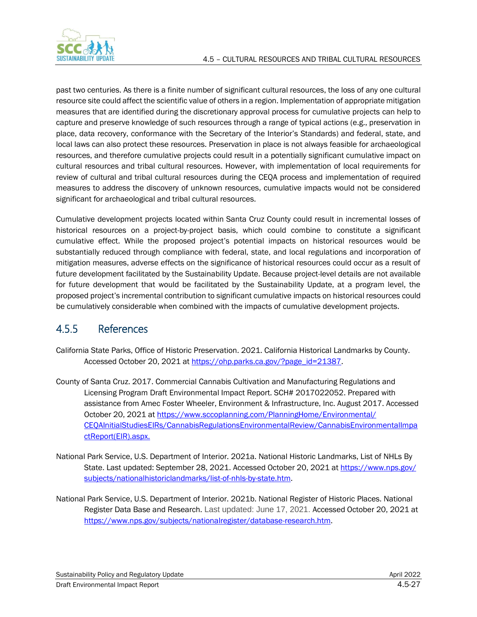past two centuries. As there is a finite number of significant cultural resources, the loss of any one cultural resource site could affect the scientific value of others in a region. Implementation of appropriate mitigation measures that are identified during the discretionary approval process for cumulative projects can help to capture and preserve knowledge of such resources through a range of typical actions (e.g., preservation in place, data recovery, conformance with the Secretary of the Interior's Standards) and federal, state, and local laws can also protect these resources. Preservation in place is not always feasible for archaeological resources, and therefore cumulative projects could result in a potentially significant cumulative impact on cultural resources and tribal cultural resources. However, with implementation of local requirements for review of cultural and tribal cultural resources during the CEQA process and implementation of required measures to address the discovery of unknown resources, cumulative impacts would not be considered significant for archaeological and tribal cultural resources.

Cumulative development projects located within Santa Cruz County could result in incremental losses of historical resources on a project-by-project basis, which could combine to constitute a significant cumulative effect. While the proposed project's potential impacts on historical resources would be substantially reduced through compliance with federal, state, and local regulations and incorporation of mitigation measures, adverse effects on the significance of historical resources could occur as a result of future development facilitated by the Sustainability Update. Because project-level details are not available for future development that would be facilitated by the Sustainability Update, at a program level, the proposed project's incremental contribution to significant cumulative impacts on historical resources could be cumulatively considerable when combined with the impacts of cumulative development projects.

# 4.5.5 References

- California State Parks, Office of Historic Preservation. 2021. California Historical Landmarks by County. Accessed October 20, 2021 at [https://ohp.parks.ca.gov/?page\\_id=21387.](https://ohp.parks.ca.gov/?page_id=21387)
- County of Santa Cruz. 2017. Commercial Cannabis Cultivation and Manufacturing Regulations and Licensing Program Draft Environmental Impact Report. SCH# 2017022052. Prepared with assistance from Amec Foster Wheeler, Environment & Infrastructure, Inc. August 2017. Accessed October 20, 2021 a[t https://www.sccoplanning.com/PlanningHome/Environmental/](https://www.sccoplanning.com/PlanningHome/Environmental/CEQAInitialStudiesEIRs/CannabisRegulationsEnvironmentalReview/CannabisEnvironmentalImpactReport(EIR).aspx) [CEQAInitialStudiesEIRs/CannabisRegulationsEnvironmentalReview/CannabisEnvironmentalImpa](https://www.sccoplanning.com/PlanningHome/Environmental/CEQAInitialStudiesEIRs/CannabisRegulationsEnvironmentalReview/CannabisEnvironmentalImpactReport(EIR).aspx) [ctReport\(EIR\).aspx.](https://www.sccoplanning.com/PlanningHome/Environmental/CEQAInitialStudiesEIRs/CannabisRegulationsEnvironmentalReview/CannabisEnvironmentalImpactReport(EIR).aspx)
- National Park Service, U.S. Department of Interior. 2021a. National Historic Landmarks, List of NHLs By State. Last updated: September 28, 2021. Accessed October 20, 2021 at [https://www.nps.gov/](https://www.nps.gov/subjects/nationalhistoriclandmarks/list-of-nhls-by-state.htm) [subjects/nationalhistoriclandmarks/list-of-nhls-by-state.htm.](https://www.nps.gov/subjects/nationalhistoriclandmarks/list-of-nhls-by-state.htm)
- National Park Service, U.S. Department of Interior. 2021b. National Register of Historic Places. National Register Data Base and Research. Last updated: June 17, 2021. Accessed October 20, 2021 at [https://www.nps.gov/subjects/nationalregister/database-research.htm.](https://www.nps.gov/subjects/nationalregister/database-research.htm)